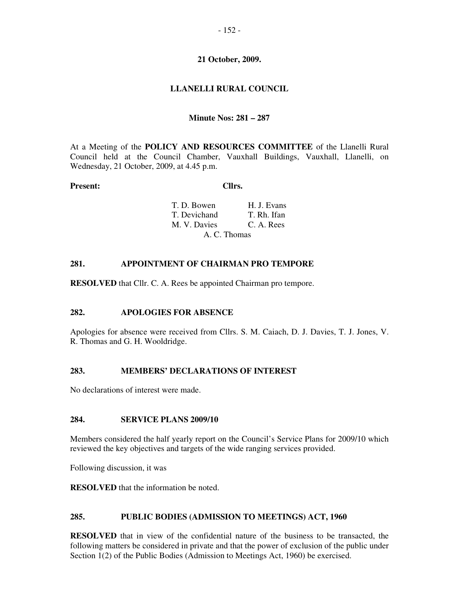# - 152 -

### **21 October, 2009.**

# **LLANELLI RURAL COUNCIL**

### **Minute Nos: 281 – 287**

At a Meeting of the **POLICY AND RESOURCES COMMITTEE** of the Llanelli Rural Council held at the Council Chamber, Vauxhall Buildings, Vauxhall, Llanelli, on Wednesday, 21 October, 2009, at 4.45 p.m.

#### **Present: Cllrs.**

| T. D. Bowen  | H. J. Evans |
|--------------|-------------|
| T. Devichand | T. Rh. Ifan |
| M. V. Davies | C. A. Rees  |
| A. C. Thomas |             |

# **281. APPOINTMENT OF CHAIRMAN PRO TEMPORE**

**RESOLVED** that Cllr. C. A. Rees be appointed Chairman pro tempore.

### **282. APOLOGIES FOR ABSENCE**

Apologies for absence were received from Cllrs. S. M. Caiach, D. J. Davies, T. J. Jones, V. R. Thomas and G. H. Wooldridge.

# **283. MEMBERS' DECLARATIONS OF INTEREST**

No declarations of interest were made.

#### **284. SERVICE PLANS 2009/10**

Members considered the half yearly report on the Council's Service Plans for 2009/10 which reviewed the key objectives and targets of the wide ranging services provided.

Following discussion, it was

**RESOLVED** that the information be noted.

### **285. PUBLIC BODIES (ADMISSION TO MEETINGS) ACT, 1960**

**RESOLVED** that in view of the confidential nature of the business to be transacted, the following matters be considered in private and that the power of exclusion of the public under Section 1(2) of the Public Bodies (Admission to Meetings Act, 1960) be exercised.